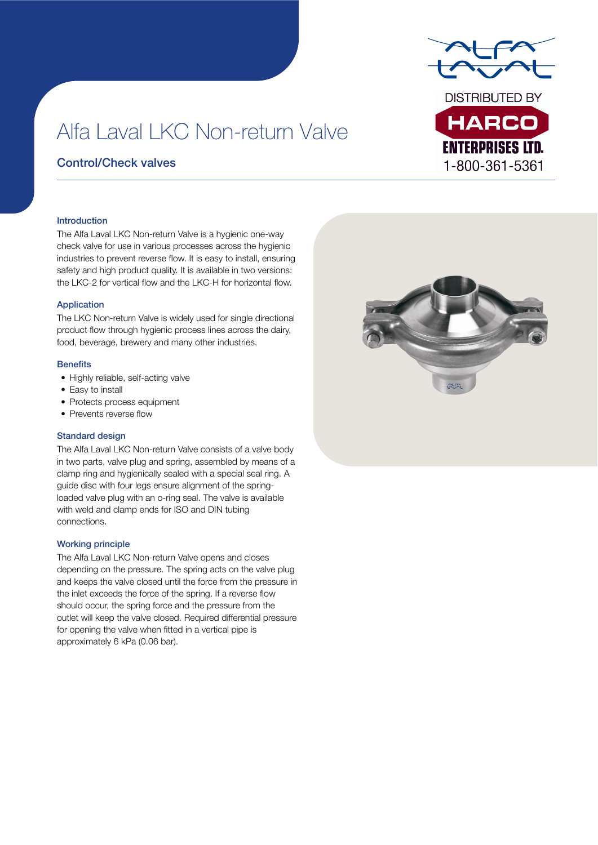

# Alfa Laval LKC Non-return Valve

### Control/Check valves

#### Introduction

The Alfa Laval LKC Non-return Valve is a hygienic one-way check valve for use in various processes across the hygienic industries to prevent reverse flow. It is easy to install, ensuring safety and high product quality. It is available in two versions: the LKC-2 for vertical flow and the LKC-H for horizontal flow.

#### Application

The LKC Non-return Valve is widely used for single directional product flow through hygienic process lines across the dairy, food, beverage, brewery and many other industries.

#### **Benefits**

- Highly reliable, self-acting valve
- Easy to install
- Protects process equipment
- Prevents reverse flow

#### Standard design

The Alfa Laval LKC Non-return Valve consists of a valve body in two parts, valve plug and spring, assembled by means of a clamp ring and hygienically sealed with a special seal ring. A guide disc with four legs ensure alignment of the springloaded valve plug with an o-ring seal. The valve is available with weld and clamp ends for ISO and DIN tubing connections.

#### Working principle

The Alfa Laval LKC Non-return Valve opens and closes depending on the pressure. The spring acts on the valve plug and keeps the valve closed until the force from the pressure in the inlet exceeds the force of the spring. If a reverse flow should occur, the spring force and the pressure from the outlet will keep the valve closed. Required differential pressure for opening the valve when fitted in a vertical pipe is approximately 6 kPa (0.06 bar).

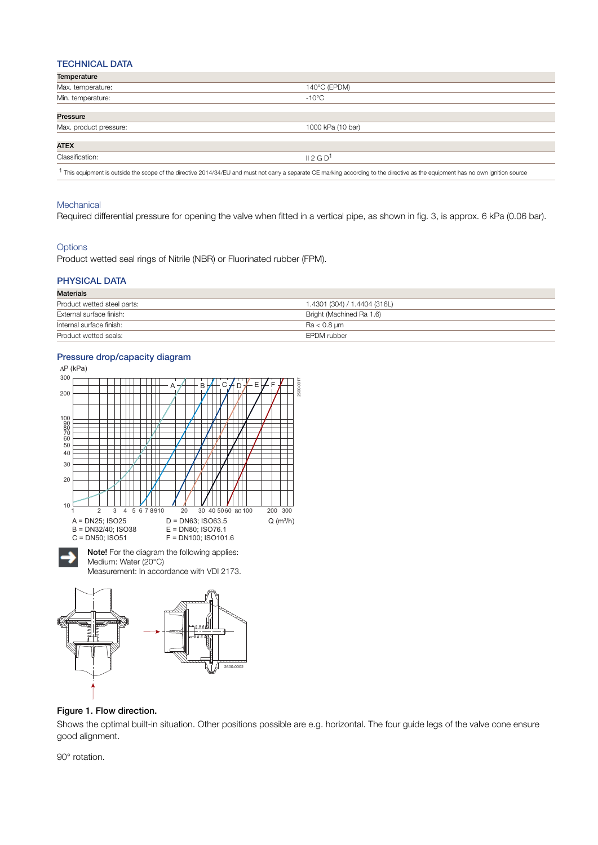#### TECHNICAL DATA

| Temperature            |                                                                                                                                                                                 |
|------------------------|---------------------------------------------------------------------------------------------------------------------------------------------------------------------------------|
| Max. temperature:      | 140°C (EPDM)                                                                                                                                                                    |
| Min. temperature:      | $-10^{\circ}$ C                                                                                                                                                                 |
| Pressure               |                                                                                                                                                                                 |
| Max. product pressure: | 1000 kPa (10 bar)                                                                                                                                                               |
| <b>ATEX</b>            |                                                                                                                                                                                 |
| Classification:        | II 2 G D <sup>1</sup>                                                                                                                                                           |
|                        | This equipment is outside the scope of the directive 2014/34/EU and must not carry a separate CE marking according to the directive as the equipment has no own ignition source |

#### **Mechanical**

Required differential pressure for opening the valve when fitted in a vertical pipe, as shown in fig. 3, is approx. 6 kPa (0.06 bar).

#### **Options**

Product wetted seal rings of Nitrile (NBR) or Fluorinated rubber (FPM).

#### PHYSICAL DATA

| <b>Materials</b>            |                              |
|-----------------------------|------------------------------|
| Product wetted steel parts: | 1.4301 (304) / 1.4404 (316L) |
| External surface finish:    | Bright (Machined Ra 1.6)     |
| Internal surface finish:    | $Ra < 0.8 \mu m$             |
| Product wetted seals:       | <b>EPDM</b> rubber           |

#### Pressure drop/capacity diagram





#### Figure 1. Flow direction.

Shows the optimal built-in situation. Other positions possible are e.g. horizontal. The four guide legs of the valve cone ensure good alignment.

90° rotation.